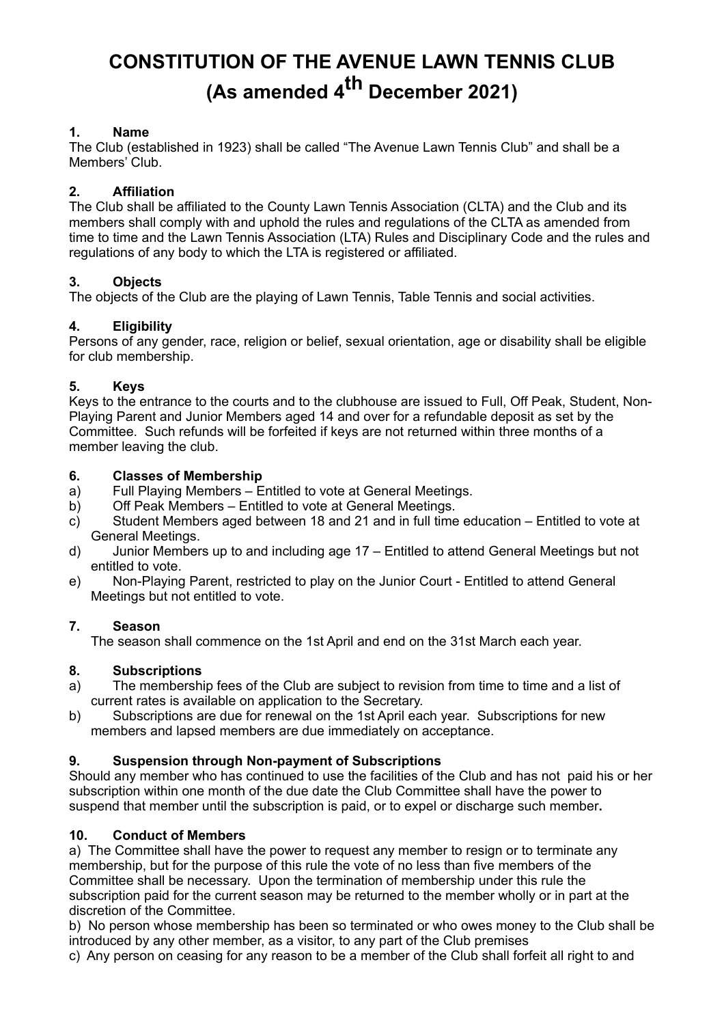# **CONSTITUTION OF THE AVENUE LAWN TENNIS CLUB (As amended 4th December 2021)**

# **1. Name**

The Club (established in 1923) shall be called "The Avenue Lawn Tennis Club" and shall be a Members' Club.

# **2. Affiliation**

The Club shall be affiliated to the County Lawn Tennis Association (CLTA) and the Club and its members shall comply with and uphold the rules and regulations of the CLTA as amended from time to time and the Lawn Tennis Association (LTA) Rules and Disciplinary Code and the rules and regulations of any body to which the LTA is registered or affiliated.

## **3. Objects**

The objects of the Club are the playing of Lawn Tennis, Table Tennis and social activities.

## **4. Eligibility**

Persons of any gender, race, religion or belief, sexual orientation, age or disability shall be eligible for club membership.

## **5. Keys**

Keys to the entrance to the courts and to the clubhouse are issued to Full, Off Peak, Student, Non-Playing Parent and Junior Members aged 14 and over for a refundable deposit as set by the Committee. Such refunds will be forfeited if keys are not returned within three months of a member leaving the club.

## **6. Classes of Membership**

- a) Full Playing Members Entitled to vote at General Meetings.
- b) Off Peak Members Entitled to vote at General Meetings.
- c) Student Members aged between 18 and 21 and in full time education Entitled to vote at General Meetings.
- d) Junior Members up to and including age 17 Entitled to attend General Meetings but not entitled to vote.
- e) Non-Playing Parent, restricted to play on the Junior Court Entitled to attend General Meetings but not entitled to vote.

## **7. Season**

The season shall commence on the 1st April and end on the 31st March each year.

# **8. Subscriptions**

- a) The membership fees of the Club are subject to revision from time to time and a list of current rates is available on application to the Secretary.
- b) Subscriptions are due for renewal on the 1st April each year. Subscriptions for new members and lapsed members are due immediately on acceptance.

# **9. Suspension through Non-payment of Subscriptions**

Should any member who has continued to use the facilities of the Club and has not paid his or her subscription within one month of the due date the Club Committee shall have the power to suspend that member until the subscription is paid, or to expel or discharge such member**.**

## **10. Conduct of Members**

a) The Committee shall have the power to request any member to resign or to terminate any membership, but for the purpose of this rule the vote of no less than five members of the Committee shall be necessary. Upon the termination of membership under this rule the subscription paid for the current season may be returned to the member wholly or in part at the discretion of the Committee.

b) No person whose membership has been so terminated or who owes money to the Club shall be introduced by any other member, as a visitor, to any part of the Club premises c) Any person on ceasing for any reason to be a member of the Club shall forfeit all right to and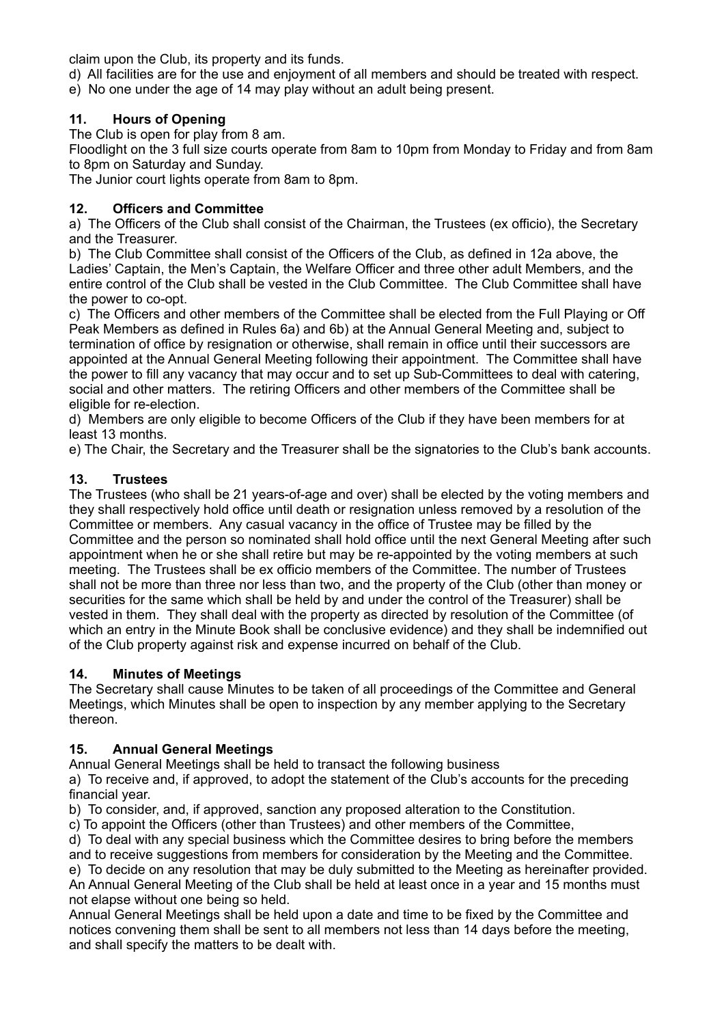claim upon the Club, its property and its funds.

d) All facilities are for the use and enjoyment of all members and should be treated with respect.

e) No one under the age of 14 may play without an adult being present.

# **11. Hours of Opening**

The Club is open for play from 8 am.

Floodlight on the 3 full size courts operate from 8am to 10pm from Monday to Friday and from 8am to 8pm on Saturday and Sunday.

The Junior court lights operate from 8am to 8pm.

# **12. Officers and Committee**

a) The Officers of the Club shall consist of the Chairman, the Trustees (ex officio), the Secretary and the Treasurer.

b) The Club Committee shall consist of the Officers of the Club, as defined in 12a above, the Ladies' Captain, the Men's Captain, the Welfare Officer and three other adult Members, and the entire control of the Club shall be vested in the Club Committee. The Club Committee shall have the power to co-opt.

c) The Officers and other members of the Committee shall be elected from the Full Playing or Off Peak Members as defined in Rules 6a) and 6b) at the Annual General Meeting and, subject to termination of office by resignation or otherwise, shall remain in office until their successors are appointed at the Annual General Meeting following their appointment. The Committee shall have the power to fill any vacancy that may occur and to set up Sub-Committees to deal with catering, social and other matters. The retiring Officers and other members of the Committee shall be eligible for re-election.

d) Members are only eligible to become Officers of the Club if they have been members for at least 13 months.

e) The Chair, the Secretary and the Treasurer shall be the signatories to the Club's bank accounts.

## **13. Trustees**

The Trustees (who shall be 21 years-of-age and over) shall be elected by the voting members and they shall respectively hold office until death or resignation unless removed by a resolution of the Committee or members. Any casual vacancy in the office of Trustee may be filled by the Committee and the person so nominated shall hold office until the next General Meeting after such appointment when he or she shall retire but may be re-appointed by the voting members at such meeting. The Trustees shall be ex officio members of the Committee. The number of Trustees shall not be more than three nor less than two, and the property of the Club (other than money or securities for the same which shall be held by and under the control of the Treasurer) shall be vested in them. They shall deal with the property as directed by resolution of the Committee (of which an entry in the Minute Book shall be conclusive evidence) and they shall be indemnified out of the Club property against risk and expense incurred on behalf of the Club.

## **14. Minutes of Meetings**

The Secretary shall cause Minutes to be taken of all proceedings of the Committee and General Meetings, which Minutes shall be open to inspection by any member applying to the Secretary thereon.

## **15. Annual General Meetings**

Annual General Meetings shall be held to transact the following business

a) To receive and, if approved, to adopt the statement of the Club's accounts for the preceding financial year.

b) To consider, and, if approved, sanction any proposed alteration to the Constitution.

c) To appoint the Officers (other than Trustees) and other members of the Committee,

d) To deal with any special business which the Committee desires to bring before the members and to receive suggestions from members for consideration by the Meeting and the Committee. e) To decide on any resolution that may be duly submitted to the Meeting as hereinafter provided.

An Annual General Meeting of the Club shall be held at least once in a year and 15 months must not elapse without one being so held.

Annual General Meetings shall be held upon a date and time to be fixed by the Committee and notices convening them shall be sent to all members not less than 14 days before the meeting, and shall specify the matters to be dealt with.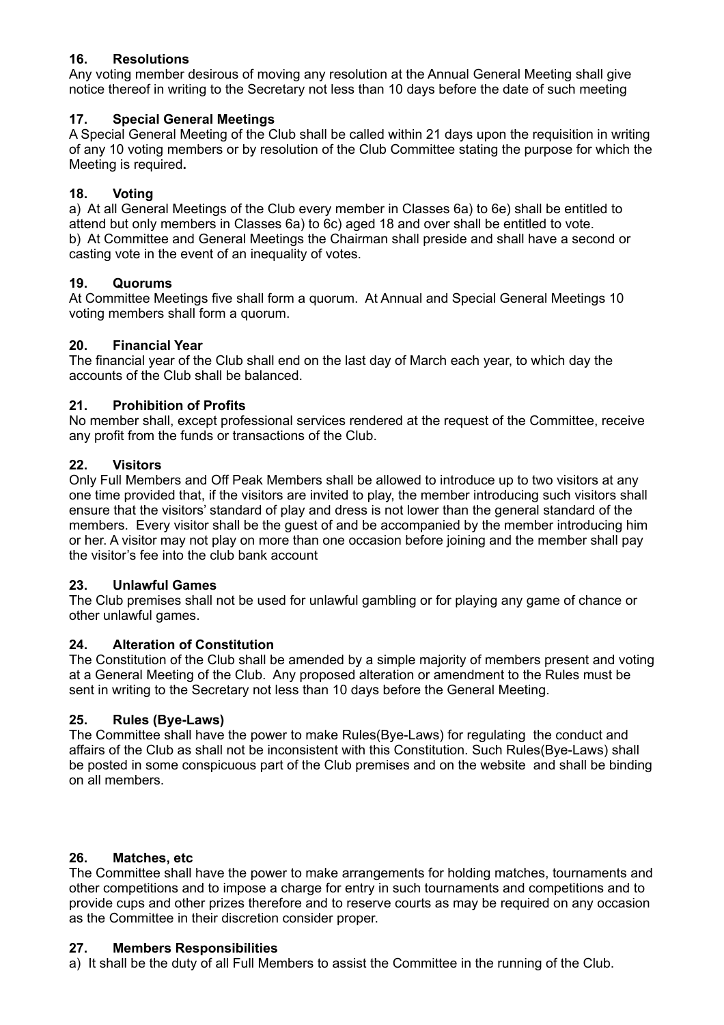# **16. Resolutions**

Any voting member desirous of moving any resolution at the Annual General Meeting shall give notice thereof in writing to the Secretary not less than 10 days before the date of such meeting

## **17. Special General Meetings**

A Special General Meeting of the Club shall be called within 21 days upon the requisition in writing of any 10 voting members or by resolution of the Club Committee stating the purpose for which the Meeting is required**.**

## **18. Voting**

a) At all General Meetings of the Club every member in Classes 6a) to 6e) shall be entitled to attend but only members in Classes 6a) to 6c) aged 18 and over shall be entitled to vote. b) At Committee and General Meetings the Chairman shall preside and shall have a second or casting vote in the event of an inequality of votes.

## **19. Quorums**

At Committee Meetings five shall form a quorum. At Annual and Special General Meetings 10 voting members shall form a quorum.

## **20. Financial Year**

The financial year of the Club shall end on the last day of March each year, to which day the accounts of the Club shall be balanced.

## **21. Prohibition of Profits**

No member shall, except professional services rendered at the request of the Committee, receive any profit from the funds or transactions of the Club.

## **22. Visitors**

Only Full Members and Off Peak Members shall be allowed to introduce up to two visitors at any one time provided that, if the visitors are invited to play, the member introducing such visitors shall ensure that the visitors' standard of play and dress is not lower than the general standard of the members. Every visitor shall be the guest of and be accompanied by the member introducing him or her. A visitor may not play on more than one occasion before joining and the member shall pay the visitor's fee into the club bank account

## **23. Unlawful Games**

The Club premises shall not be used for unlawful gambling or for playing any game of chance or other unlawful games.

## **24. Alteration of Constitution**

The Constitution of the Club shall be amended by a simple majority of members present and voting at a General Meeting of the Club. Any proposed alteration or amendment to the Rules must be sent in writing to the Secretary not less than 10 days before the General Meeting.

## **25. Rules (Bye-Laws)**

The Committee shall have the power to make Rules(Bye-Laws) for regulating the conduct and affairs of the Club as shall not be inconsistent with this Constitution. Such Rules(Bye-Laws) shall be posted in some conspicuous part of the Club premises and on the website and shall be binding on all members.

## **26. Matches, etc**

The Committee shall have the power to make arrangements for holding matches, tournaments and other competitions and to impose a charge for entry in such tournaments and competitions and to provide cups and other prizes therefore and to reserve courts as may be required on any occasion as the Committee in their discretion consider proper.

## **27. Members Responsibilities**

a) It shall be the duty of all Full Members to assist the Committee in the running of the Club.